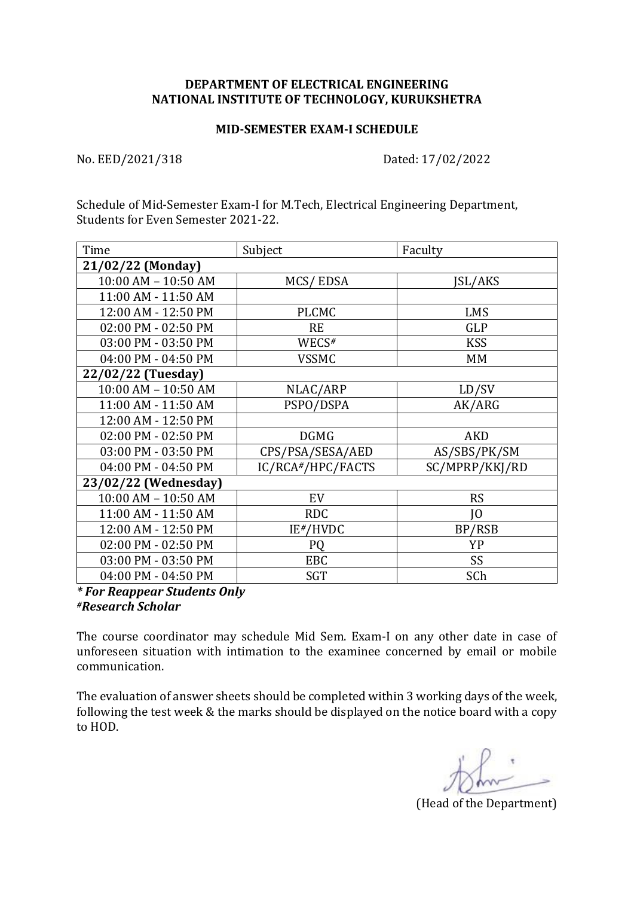## **DEPARTMENT OF ELECTRICAL ENGINEERING NATIONAL INSTITUTE OF TECHNOLOGY, KURUKSHETRA**

## **MID-SEMESTER EXAM-I SCHEDULE**

No. EED/2021/318 Dated: 17/02/2022

Schedule of Mid-Semester Exam-I for M.Tech, Electrical Engineering Department, Students for Even Semester 2021-22.

| Time                 | Subject           | Faculty        |
|----------------------|-------------------|----------------|
| 21/02/22 (Monday)    |                   |                |
| 10:00 AM - 10:50 AM  | MCS/EDSA          | JSL/AKS        |
| 11:00 AM - 11:50 AM  |                   |                |
| 12:00 AM - 12:50 PM  | <b>PLCMC</b>      | <b>LMS</b>     |
| 02:00 PM - 02:50 PM  | <b>RE</b>         | <b>GLP</b>     |
| 03:00 PM - 03:50 PM  | WECS#             | <b>KSS</b>     |
| 04:00 PM - 04:50 PM  | <b>VSSMC</b>      | MM             |
| 22/02/22 (Tuesday)   |                   |                |
| 10:00 AM - 10:50 AM  | NLAC/ARP          | LD/SV          |
| 11:00 AM - 11:50 AM  | PSPO/DSPA         | AK/ARG         |
| 12:00 AM - 12:50 PM  |                   |                |
| 02:00 PM - 02:50 PM  | <b>DGMG</b>       | <b>AKD</b>     |
| 03:00 PM - 03:50 PM  | CPS/PSA/SESA/AED  | AS/SBS/PK/SM   |
| 04:00 PM - 04:50 PM  | IC/RCA#/HPC/FACTS | SC/MPRP/KKJ/RD |
| 23/02/22 (Wednesday) |                   |                |
| 10:00 AM - 10:50 AM  | EV                | <b>RS</b>      |
| 11:00 AM - 11:50 AM  | <b>RDC</b>        | IО             |
| 12:00 AM - 12:50 PM  | $IE*/HVDC$        | BP/RSB         |
| 02:00 PM - 02:50 PM  | <b>PQ</b>         | YP             |
| 03:00 PM - 03:50 PM  | <b>EBC</b>        | SS             |
| 04:00 PM - 04:50 PM  | <b>SGT</b>        | SCh            |

*\* For Reappear Students Only #Research Scholar*

The course coordinator may schedule Mid Sem. Exam-I on any other date in case of unforeseen situation with intimation to the examinee concerned by email or mobile communication.

The evaluation of answer sheets should be completed within 3 working days of the week, following the test week & the marks should be displayed on the notice board with a copy to HOD.

(Head of the Department)